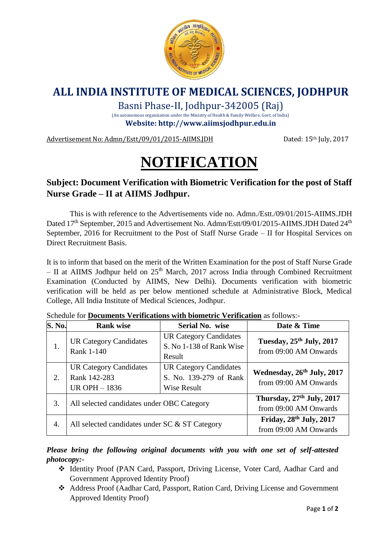

## **ALL INDIA INSTITUTE OF MEDICAL SCIENCES, JODHPUR**

Basni Phase-II, Jodhpur-342005 (Raj)

(An autonomous organization under the Ministry of Health & Family Welfare, Govt. of India) **Website: http://www.aiimsjodhpur.edu.in**

Advertisement No: Admn/Estt/09/01/2015-AIIMS.JDH Dated: 15<sup>th</sup> July, 2017

## **NOTIFICATION**

## **Subject: Document Verification with Biometric Verification for the post of Staff Nurse Grade – II at AIIMS Jodhpur.**

This is with reference to the Advertisements vide no. Admn./Estt./09/01/2015-AIIMS.JDH Dated 17<sup>th</sup> September, 2015 and Advertisement No. Admn/Estt/09/01/2015-AIIMS.JDH Dated 24<sup>th</sup> September, 2016 for Recruitment to the Post of Staff Nurse Grade – II for Hospital Services on Direct Recruitment Basis.

It is to inform that based on the merit of the Written Examination for the post of Staff Nurse Grade – II at AIIMS Jodhpur held on  $25<sup>th</sup>$  March, 2017 across India through Combined Recruitment Examination (Conducted by AIIMS, New Delhi). Documents verification with biometric verification will be held as per below mentioned schedule at Administrative Block, Medical College, All India Institute of Medical Sciences, Jodhpur.

| <b>S. No.</b> | <b>Rank wise</b>                                                      | Serial No. wise                                                        | Date & Time                                                    |
|---------------|-----------------------------------------------------------------------|------------------------------------------------------------------------|----------------------------------------------------------------|
| 1.            | <b>UR Category Candidates</b><br>Rank 1-140                           | <b>UR Category Candidates</b><br>S. No 1-138 of Rank Wise<br>Result    | Tuesday, 25th July, 2017<br>from 09:00 AM Onwards              |
| 2.            | <b>UR Category Candidates</b><br>Rank 142-283<br><b>UR OPH - 1836</b> | <b>UR Category Candidates</b><br>S. No. 139-279 of Rank<br>Wise Result | Wednesday, 26th July, 2017<br>from 09:00 AM Onwards            |
| 3.            | All selected candidates under OBC Category                            |                                                                        | Thursday, 27 <sup>th</sup> July, 2017<br>from 09:00 AM Onwards |
| 4.            | All selected candidates under SC & ST Category                        |                                                                        | Friday, 28th July, 2017<br>from 09:00 AM Onwards               |

Schedule for **Documents Verifications with biometric Verification** as follows:-

*Please bring the following original documents with you with one set of self-attested photocopy:-*

- Identity Proof (PAN Card, Passport, Driving License, Voter Card, Aadhar Card and Government Approved Identity Proof)
- Address Proof (Aadhar Card, Passport, Ration Card, Driving License and Government Approved Identity Proof)